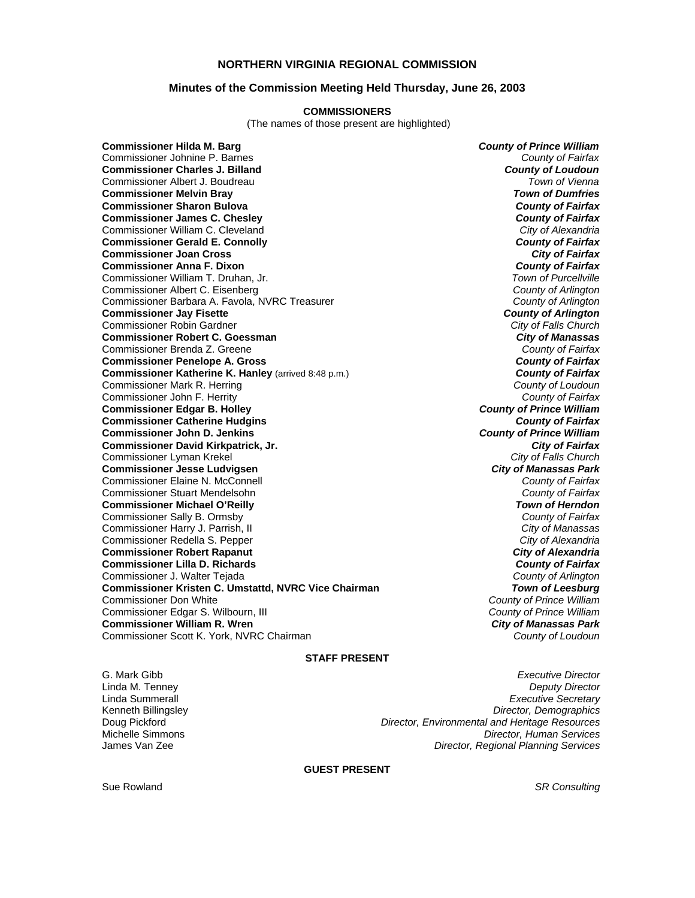### **NORTHERN VIRGINIA REGIONAL COMMISSION**

### **Minutes of the Commission Meeting Held Thursday, June 26, 2003**

#### **COMMISSIONERS**

(The names of those present are highlighted)

**Commissioner Hilda M. Barg** *County of Prince William* Commissioner Johnine P. Barnes *County of Fairfax* **Commissioner Charles J. Billand** *County of Loudoun* Commissioner Albert J. Boudreau *Town of Vienna* **Commissioner Melvin Bray Commissioner Sharon Bulova** *County of Fairfax* **Commissioner James C. Chesley** *County of Fairfax* Commissioner William C. Cleveland *City of Alexandria* **Commissioner Gerald E. Connolly** *County of Fairfax* **Commissioner Joan Cross** *City of Fairfax* **Commissioner Anna F. Dixon** *County of Fairfax* Commissioner William T. Druhan, Jr. *Town of Purcellville* Commissioner Albert C. Eisenberg *County of Arlington* Commissioner Barbara A. Favola, NVRC Treasurer *County of Arlington* **Commissioner Jay Fisette** *County of Arlington* Commissioner Robin Gardner *City of Falls Church* **Commissioner Robert C. Goessman** *City of Manassas* Commissioner Brenda Z. Greene *County of Fairfax* **Commissioner Penelope A. Gross** *County of Fairfax* **Commissioner Katherine K. Hanley (arrived 8:48 p.m.)** Commissioner Mark R. Herring *County of Loudoun* Commissioner John F. Herrity *County of Fairfax* **Commissioner Edgar B. Holley** *County of Prince William* **Commissioner Catherine Hudgins** *County of Fairfax* **Commissioner John D. Jenkins** *County of Prince William* **Commissioner David Kirkpatrick, Jr.** *City of Fairfax* Commissioner Lyman Krekel *City of Falls Church* **Commissioner Jesse Ludvigsen** *City of Manassas Park* Commissioner Elaine N. McConnell *County of Fairfax* Commissioner Stuart Mendelsohn *County of Fairfax* **Commissioner Michael O'Reilly** *Town of Herndon* Commissioner Sally B. Ormsby *County of Fairfax* Commissioner Harry J. Parrish, II *City of Manassas* Commissioner Redella S. Pepper *City of Alexandria* **Commissioner Robert Rapanut** *City of Alexandria* **Commissioner Lilla D. Richards** *County of Fairfax* Commissioner J. Walter Tejada *County of Arlington* **Commissioner Kristen C. Umstattd, NVRC Vice Chairman** *Town of Leesburg* Commissioner Edgar S. Wilbourn, III *County of Prince William* **Commissioner William R. Wren** *City of Manassas Park* Commissioner Scott K. York, NVRC Chairman *County of Loudoun*

County of Prince William<br>County of Prince William

#### **STAFF PRESENT**

G. Mark Gibb *Executive Director* Linda M. Tenney *Deputy Director* Linda Summerall *Executive Secretary* Kenneth Billingsley *Director, Demographics* **Director, Environmental and Heritage Resources** Michelle Simmons *Director, Human Services* James Van Zee *Director, Regional Planning Services*

**GUEST PRESENT** 

Sue Rowland *SR Consulting*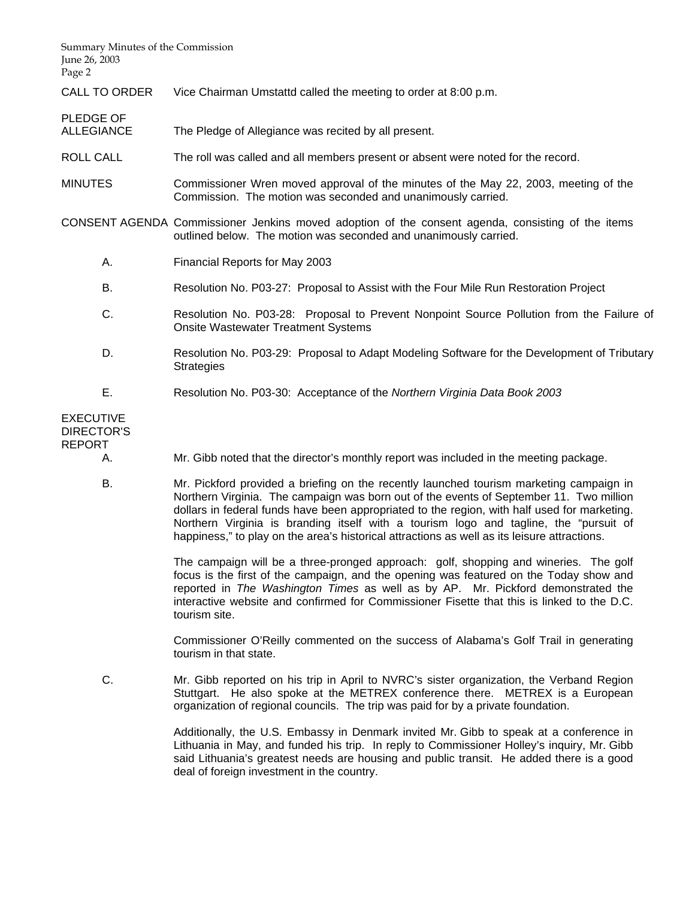| Summary Minutes of the Commission<br>June 26, 2003<br>Page 2 |                                                                                                                                                                                                                                                                                                                                                                                                                                                                             |  |
|--------------------------------------------------------------|-----------------------------------------------------------------------------------------------------------------------------------------------------------------------------------------------------------------------------------------------------------------------------------------------------------------------------------------------------------------------------------------------------------------------------------------------------------------------------|--|
| <b>CALL TO ORDER</b>                                         | Vice Chairman Umstattd called the meeting to order at 8:00 p.m.                                                                                                                                                                                                                                                                                                                                                                                                             |  |
| PLEDGE OF<br><b>ALLEGIANCE</b>                               | The Pledge of Allegiance was recited by all present.                                                                                                                                                                                                                                                                                                                                                                                                                        |  |
| ROLL CALL                                                    | The roll was called and all members present or absent were noted for the record.                                                                                                                                                                                                                                                                                                                                                                                            |  |
| <b>MINUTES</b>                                               | Commissioner Wren moved approval of the minutes of the May 22, 2003, meeting of the<br>Commission. The motion was seconded and unanimously carried.                                                                                                                                                                                                                                                                                                                         |  |
|                                                              | CONSENT AGENDA Commissioner Jenkins moved adoption of the consent agenda, consisting of the items<br>outlined below. The motion was seconded and unanimously carried.                                                                                                                                                                                                                                                                                                       |  |
| А.                                                           | Financial Reports for May 2003                                                                                                                                                                                                                                                                                                                                                                                                                                              |  |
| В.                                                           | Resolution No. P03-27: Proposal to Assist with the Four Mile Run Restoration Project                                                                                                                                                                                                                                                                                                                                                                                        |  |
| C.                                                           | Resolution No. P03-28: Proposal to Prevent Nonpoint Source Pollution from the Failure of<br><b>Onsite Wastewater Treatment Systems</b>                                                                                                                                                                                                                                                                                                                                      |  |
| D.                                                           | Resolution No. P03-29: Proposal to Adapt Modeling Software for the Development of Tributary<br><b>Strategies</b>                                                                                                                                                                                                                                                                                                                                                            |  |
| Е.                                                           | Resolution No. P03-30: Acceptance of the Northern Virginia Data Book 2003                                                                                                                                                                                                                                                                                                                                                                                                   |  |
| <b>EXECUTIVE</b><br><b>DIRECTOR'S</b><br><b>REPORT</b>       |                                                                                                                                                                                                                                                                                                                                                                                                                                                                             |  |
| А.                                                           | Mr. Gibb noted that the director's monthly report was included in the meeting package.                                                                                                                                                                                                                                                                                                                                                                                      |  |
| В.                                                           | Mr. Pickford provided a briefing on the recently launched tourism marketing campaign in<br>Northern Virginia. The campaign was born out of the events of September 11. Two million<br>dollars in federal funds have been appropriated to the region, with half used for marketing.<br>Northern Virginia is branding itself with a tourism logo and tagline, the "pursuit of<br>happiness," to play on the area's historical attractions as well as its leisure attractions. |  |
|                                                              | The campaign will be a three-pronged approach: golf, shopping and wineries. The golf<br>focus is the first of the campaign, and the opening was featured on the Today show and<br>reported in The Washington Times as well as by AP. Mr. Pickford demonstrated the<br>interactive website and confirmed for Commissioner Fisette that this is linked to the D.C.<br>tourism site.                                                                                           |  |
|                                                              | Commissioner O'Reilly commented on the success of Alabama's Golf Trail in generating<br>tourism in that state.                                                                                                                                                                                                                                                                                                                                                              |  |

 C. Mr. Gibb reported on his trip in April to NVRC's sister organization, the Verband Region Stuttgart. He also spoke at the METREX conference there. METREX is a European organization of regional councils. The trip was paid for by a private foundation.

> Additionally, the U.S. Embassy in Denmark invited Mr. Gibb to speak at a conference in Lithuania in May, and funded his trip. In reply to Commissioner Holley's inquiry, Mr. Gibb said Lithuania's greatest needs are housing and public transit. He added there is a good deal of foreign investment in the country.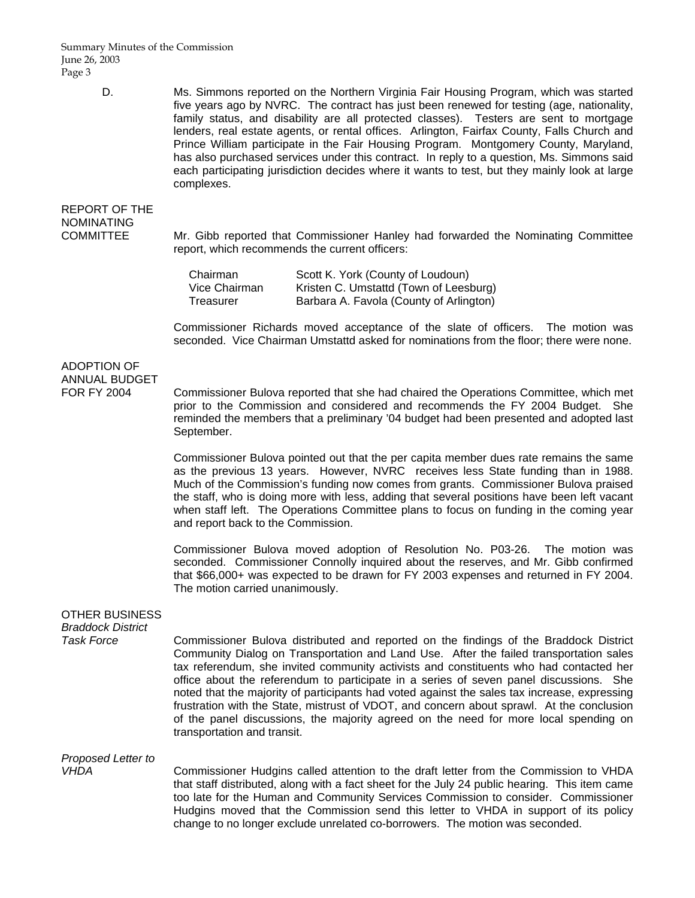Summary Minutes of the Commission June 26, 2003 Page 3

- - D. Ms. Simmons reported on the Northern Virginia Fair Housing Program, which was started five years ago by NVRC. The contract has just been renewed for testing (age, nationality, family status, and disability are all protected classes). Testers are sent to mortgage lenders, real estate agents, or rental offices. Arlington, Fairfax County, Falls Church and Prince William participate in the Fair Housing Program. Montgomery County, Maryland, has also purchased services under this contract. In reply to a question, Ms. Simmons said each participating jurisdiction decides where it wants to test, but they mainly look at large complexes.

# REPORT OF THE NOMINATING

COMMITTEE Mr. Gibb reported that Commissioner Hanley had forwarded the Nominating Committee report, which recommends the current officers:

| Chairman      | Scott K. York (County of Loudoun)       |
|---------------|-----------------------------------------|
| Vice Chairman | Kristen C. Umstattd (Town of Leesburg)  |
| Treasurer     | Barbara A. Favola (County of Arlington) |

 Commissioner Richards moved acceptance of the slate of officers. The motion was seconded. Vice Chairman Umstattd asked for nominations from the floor; there were none.

## ADOPTION OF ANNUAL BUDGET

FOR FY 2004 Commissioner Bulova reported that she had chaired the Operations Committee, which met prior to the Commission and considered and recommends the FY 2004 Budget. She reminded the members that a preliminary '04 budget had been presented and adopted last September.

> Commissioner Bulova pointed out that the per capita member dues rate remains the same as the previous 13 years. However, NVRC receives less State funding than in 1988. Much of the Commission's funding now comes from grants. Commissioner Bulova praised the staff, who is doing more with less, adding that several positions have been left vacant when staff left. The Operations Committee plans to focus on funding in the coming year and report back to the Commission.

> Commissioner Bulova moved adoption of Resolution No. P03-26. The motion was seconded. Commissioner Connolly inquired about the reserves, and Mr. Gibb confirmed that \$66,000+ was expected to be drawn for FY 2003 expenses and returned in FY 2004. The motion carried unanimously.

## OTHER BUSINESS

*Braddock District* 

*Task Force* Commissioner Bulova distributed and reported on the findings of the Braddock District Community Dialog on Transportation and Land Use. After the failed transportation sales tax referendum, she invited community activists and constituents who had contacted her office about the referendum to participate in a series of seven panel discussions. She noted that the majority of participants had voted against the sales tax increase, expressing frustration with the State, mistrust of VDOT, and concern about sprawl. At the conclusion of the panel discussions, the majority agreed on the need for more local spending on transportation and transit.

## *Proposed Letter to*

*VHDA* Commissioner Hudgins called attention to the draft letter from the Commission to VHDA that staff distributed, along with a fact sheet for the July 24 public hearing. This item came too late for the Human and Community Services Commission to consider. Commissioner Hudgins moved that the Commission send this letter to VHDA in support of its policy change to no longer exclude unrelated co-borrowers. The motion was seconded.